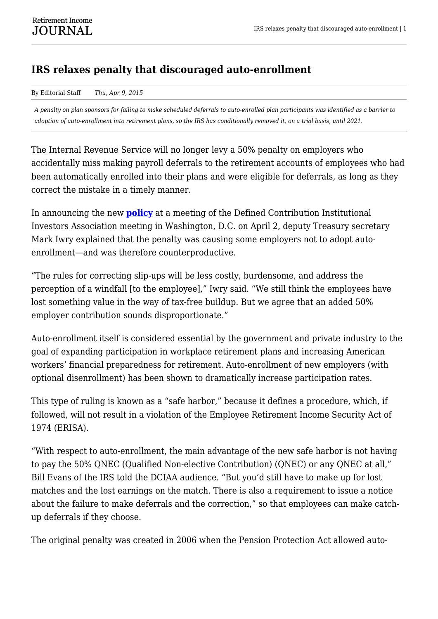## **IRS relaxes penalty that discouraged auto-enrollment**

## By Editorial Staff *Thu, Apr 9, 2015*

*A penalty on plan sponsors for failing to make scheduled deferrals to auto-enrolled plan participants was identified as a barrier to adoption of auto-enrollment into retirement plans, so the IRS has conditionally removed it, on a trial basis, until 2021.*

The Internal Revenue Service will no longer levy a 50% penalty on employers who accidentally miss making payroll deferrals to the retirement accounts of employees who had been automatically enrolled into their plans and were eligible for deferrals, as long as they correct the mistake in a timely manner.

In announcing the new **[policy](http://s3.amazonaws.com/presspublisher-do/upload/567/New%20Safe%20Harbor%20for%20Elective%20Deferral%20Failures.pdf)** at a meeting of the Defined Contribution Institutional Investors Association meeting in Washington, D.C. on April 2, deputy Treasury secretary Mark Iwry explained that the penalty was causing some employers not to adopt autoenrollment—and was therefore counterproductive.

"The rules for correcting slip-ups will be less costly, burdensome, and address the perception of a windfall [to the employee]," Iwry said. "We still think the employees have lost something value in the way of tax-free buildup. But we agree that an added 50% employer contribution sounds disproportionate."

Auto-enrollment itself is considered essential by the government and private industry to the goal of expanding participation in workplace retirement plans and increasing American workers' financial preparedness for retirement. Auto-enrollment of new employers (with optional disenrollment) has been shown to dramatically increase participation rates.

This type of ruling is known as a "safe harbor," because it defines a procedure, which, if followed, will not result in a violation of the Employee Retirement Income Security Act of 1974 (ERISA).

"With respect to auto-enrollment, the main advantage of the new safe harbor is not having to pay the 50% QNEC (Qualified Non-elective Contribution) (QNEC) or any QNEC at all," Bill Evans of the IRS told the DCIAA audience. "But you'd still have to make up for lost matches and the lost earnings on the match. There is also a requirement to issue a notice about the failure to make deferrals and the correction," so that employees can make catchup deferrals if they choose.

The original penalty was created in 2006 when the Pension Protection Act allowed auto-